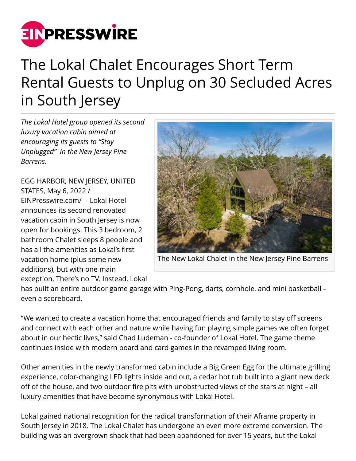

## The Lokal Chalet Encourages Short Term Rental Guests to Unplug on 30 Secluded Acres in South Jersey

*The Lokal Hotel group opened its second luxury vacation cabin aimed at encouraging its guests to "Stay Unplugged" in the New Jersey Pine Barrens.*

EGG HARBOR, NEW JERSEY, UNITED STATES, May 6, 2022 / [EINPresswire.com](http://www.einpresswire.com)/ -- Lokal Hotel announces its second renovated vacation cabin in South Jersey is now open for bookings. This 3 bedroom, 2 bathroom Chalet sleeps 8 people and has all the amenities as Lokal's first vacation home (plus some new additions), but with one main exception. There's no TV. Instead, Lokal



The New Lokal Chalet in the New Jersey Pine Barrens

has built an entire outdoor game garage with Ping-Pong, darts, cornhole, and mini basketball – even a scoreboard.

"We wanted to create a vacation home that encouraged friends and family to stay off screens and connect with each other and nature while having fun playing simple games we often forget about in our hectic lives," said Chad Ludeman - co-founder of Lokal Hotel. The game theme continues inside with modern board and card games in the revamped living room.

Other amenities in the newly transformed cabin include a Big Green Egg for the ultimate grilling experience, color-changing LED lights inside and out, a cedar hot tub built into a giant new deck off of the house, and two outdoor fire pits with unobstructed views of the stars at night – all luxury amenities that have become synonymous with Lokal Hotel.

Lokal gained national recognition for the radical transformation of their Aframe property in South Jersey in 2018. The Lokal Chalet has undergone an even more extreme conversion. The building was an overgrown shack that had been abandoned for over 15 years, but the Lokal